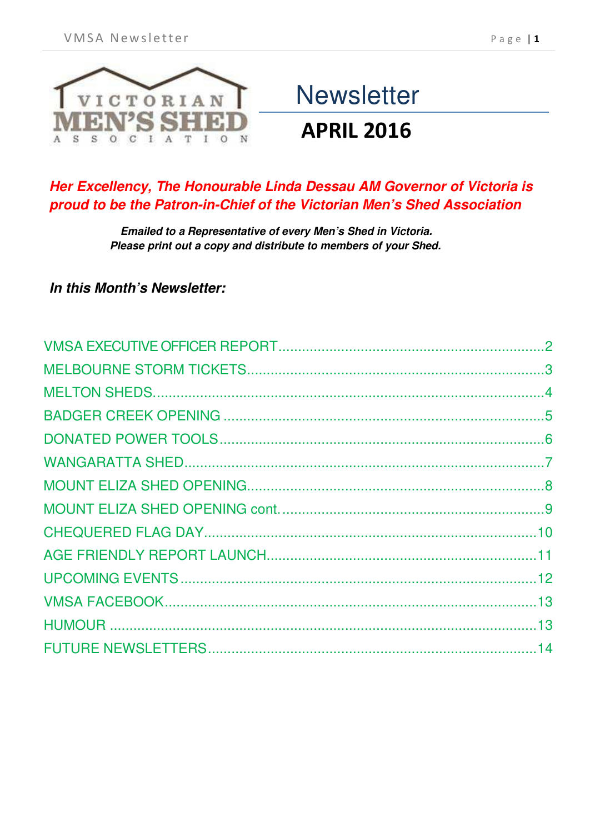

# **Newsletter**

### **APRIL 2016**

### *Her Excellency, The Honourable Linda Dessau AM Governor of Victoria is proud to be the Patron-in-Chief of the Victorian Men's Shed Association*

*Emailed to a Representative of every Men's Shed in Victoria. Please print out a copy and distribute to members of your Shed.*

#### *In this Month's Newsletter:*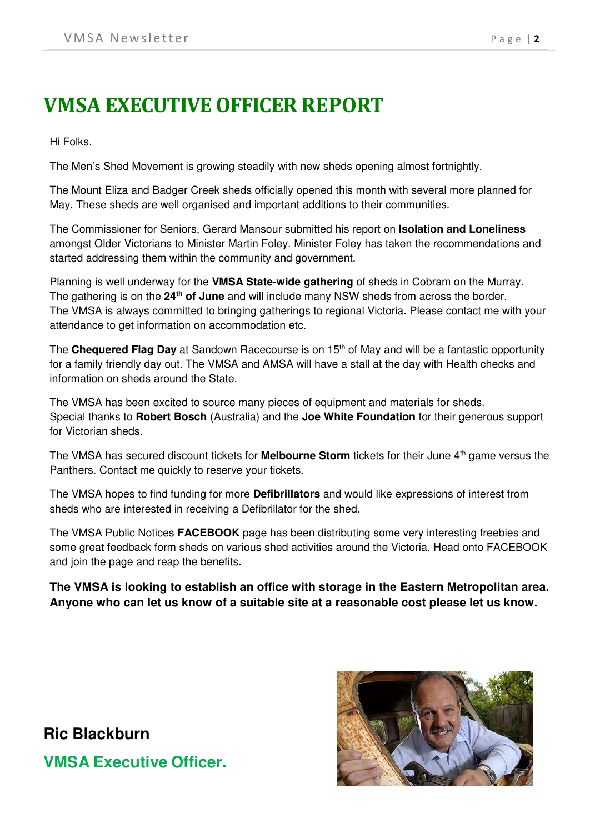# <span id="page-1-0"></span>**VMSA EXECUTIVE OFFICER REPORT**

Hi Folks,

The Men's Shed Movement is growing steadily with new sheds opening almost fortnightly.

The Mount Eliza and Badger Creek sheds officially opened this month with several more planned for May. These sheds are well organised and important additions to their communities.

The Commissioner for Seniors, Gerard Mansour submitted his report on **Isolation and Loneliness** amongst Older Victorians to Minister Martin Foley. Minister Foley has taken the recommendations and started addressing them within the community and government.

Planning is well underway for the **VMSA State-wide gathering** of sheds in Cobram on the Murray. The gathering is on the **24th of June** and will include many NSW sheds from across the border. The VMSA is always committed to bringing gatherings to regional Victoria. Please contact me with your attendance to get information on accommodation etc.

The **Chequered Flag Day** at Sandown Racecourse is on 15th of May and will be a fantastic opportunity for a family friendly day out. The VMSA and AMSA will have a stall at the day with Health checks and information on sheds around the State.

The VMSA has been excited to source many pieces of equipment and materials for sheds. Special thanks to **Robert Bosch** (Australia) and the **Joe White Foundation** for their generous support for Victorian sheds.

The VMSA has secured discount tickets for **Melbourne Storm** tickets for their June 4th game versus the Panthers. Contact me quickly to reserve your tickets.

The VMSA hopes to find funding for more **Defibrillators** and would like expressions of interest from sheds who are interested in receiving a Defibrillator for the shed.

The VMSA Public Notices **FACEBOOK** page has been distributing some very interesting freebies and some great feedback form sheds on various shed activities around the Victoria. Head onto FACEBOOK and join the page and reap the benefits.

**The VMSA is looking to establish an office with storage in the Eastern Metropolitan area. Anyone who can let us know of a suitable site at a reasonable cost please let us know.** 

**Ric Blackburn VMSA Executive Officer.**

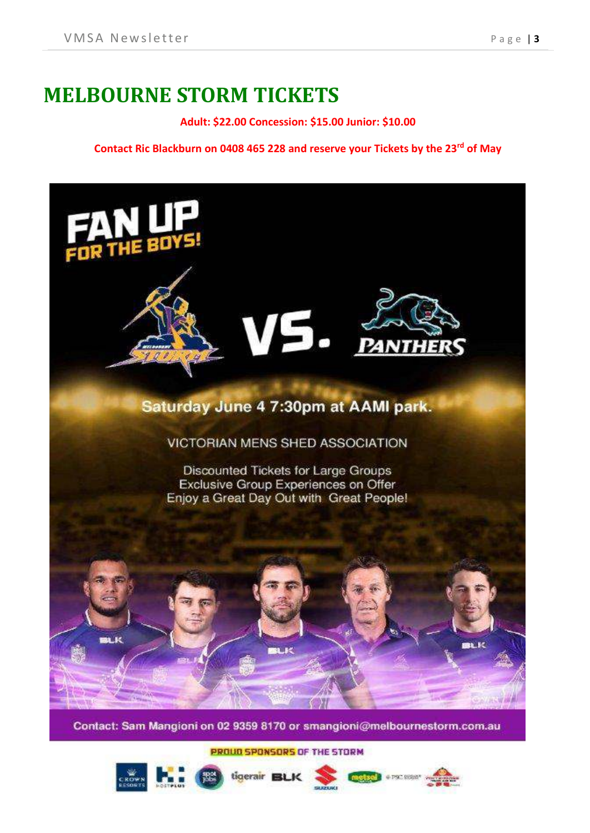### <span id="page-2-0"></span>**MELBOURNE STORM TICKETS**

**Adult: \$22.00 Concession: \$15.00 Junior: \$10.00**

**Contact Ric Blackburn on 0408 465 228 and reserve your Tickets by the 23rd of May**



Contact: Sam Mangioni on 02 9359 8170 or smangioni@melbournestorm.com.au

PROUD SPONSORS OF THE STORM

tigerair BLK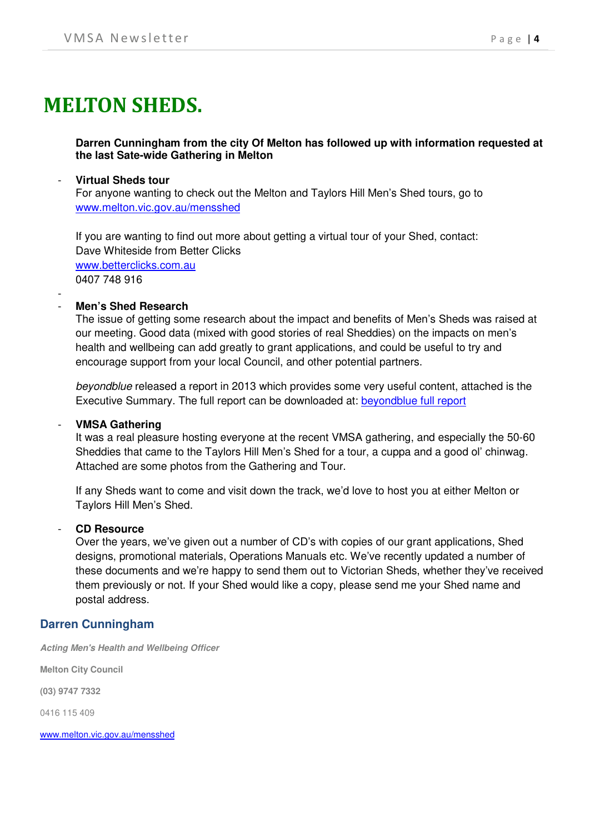# <span id="page-3-0"></span>**MELTON SHEDS.**

**Darren Cunningham from the city Of Melton has followed up with information requested at the last Sate-wide Gathering in Melton**

#### - **Virtual Sheds tour**

For anyone wanting to check out the Melton and Taylors Hill Men's Shed tours, go to [www.melton.vic.gov.au/mensshed](http://www.melton.vic.gov.au/mensshed) 

If you are wanting to find out more about getting a virtual tour of your Shed, contact: Dave Whiteside from Better Clicks [www.betterclicks.com.au](http://www.betterclicks.com.au/) 0407 748 916

#### - - **Men's Shed Research**

The issue of getting some research about the impact and benefits of Men's Sheds was raised at our meeting. Good data (mixed with good stories of real Sheddies) on the impacts on men's health and wellbeing can add greatly to grant applications, and could be useful to try and encourage support from your local Council, and other potential partners.

*beyondblue* released a report in 2013 which provides some very useful content, attached is the Executive Summary. The full report can be downloaded at: [beyondblue full report](https://www.beyondblue.org.au/docs/default-source/research-project-files/bw0209.pdf?sfvrsn=2) 

#### - **VMSA Gathering**

It was a real pleasure hosting everyone at the recent VMSA gathering, and especially the 50-60 Sheddies that came to the Taylors Hill Men's Shed for a tour, a cuppa and a good ol' chinwag. Attached are some photos from the Gathering and Tour.

If any Sheds want to come and visit down the track, we'd love to host you at either Melton or Taylors Hill Men's Shed.

#### - **CD Resource**

Over the years, we've given out a number of CD's with copies of our grant applications, Shed designs, promotional materials, Operations Manuals etc. We've recently updated a number of these documents and we're happy to send them out to Victorian Sheds, whether they've received them previously or not. If your Shed would like a copy, please send me your Shed name and postal address.

#### **Darren Cunningham**

*Acting Men's Health and Wellbeing Officer* 

**Melton City Council**

**(03) 9747 7332**

0416 115 409

<span id="page-3-1"></span>www.melton.vic.gov.au/mensshed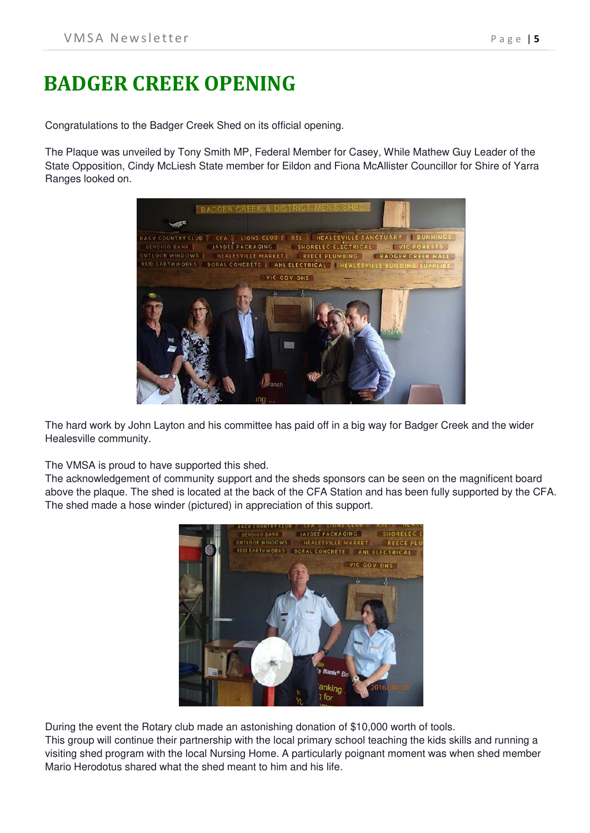# **BADGER CREEK OPENING**

Congratulations to the Badger Creek Shed on its official opening.

The Plaque was unveiled by Tony Smith MP, Federal Member for Casey, While Mathew Guy Leader of the State Opposition, Cindy McLiesh State member for Eildon and Fiona McAllister Councillor for Shire of Yarra Ranges looked on.



The hard work by John Layton and his committee has paid off in a big way for Badger Creek and the wider Healesville community.

The VMSA is proud to have supported this shed.

The acknowledgement of community support and the sheds sponsors can be seen on the magnificent board above the plaque. The shed is located at the back of the CFA Station and has been fully supported by the CFA. The shed made a hose winder (pictured) in appreciation of this support.



During the event the Rotary club made an astonishing donation of \$10,000 worth of tools.

This group will continue their partnership with the local primary school teaching the kids skills and running a visiting shed program with the local Nursing Home. A particularly poignant moment was when shed member Mario Herodotus shared what the shed meant to him and his life.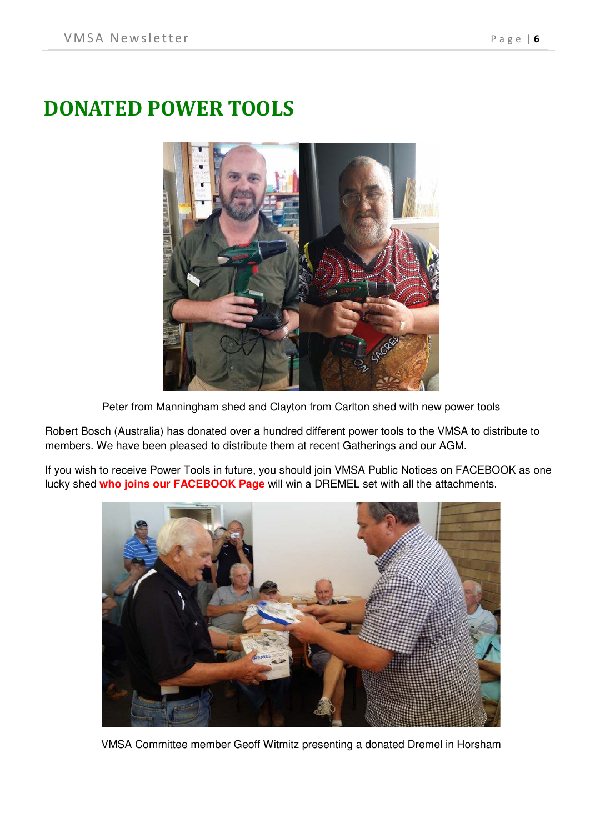# <span id="page-5-0"></span>**DONATED POWER TOOLS**



Peter from Manningham shed and Clayton from Carlton shed with new power tools

Robert Bosch (Australia) has donated over a hundred different power tools to the VMSA to distribute to members. We have been pleased to distribute them at recent Gatherings and our AGM.

If you wish to receive Power Tools in future, you should join VMSA Public Notices on FACEBOOK as one lucky shed **who joins our FACEBOOK Page** will win a DREMEL set with all the attachments.



VMSA Committee member Geoff Witmitz presenting a donated Dremel in Horsham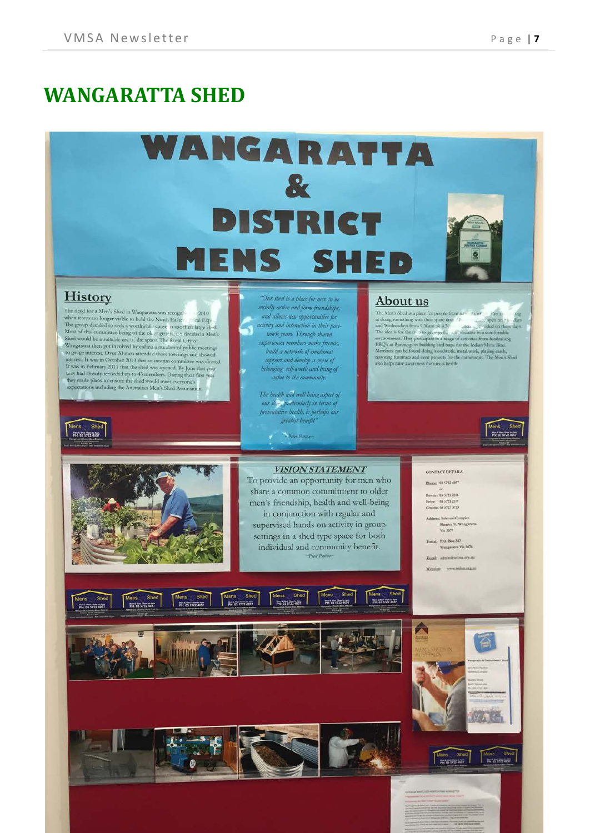### <span id="page-6-0"></span>**WANGARATTA SHED**

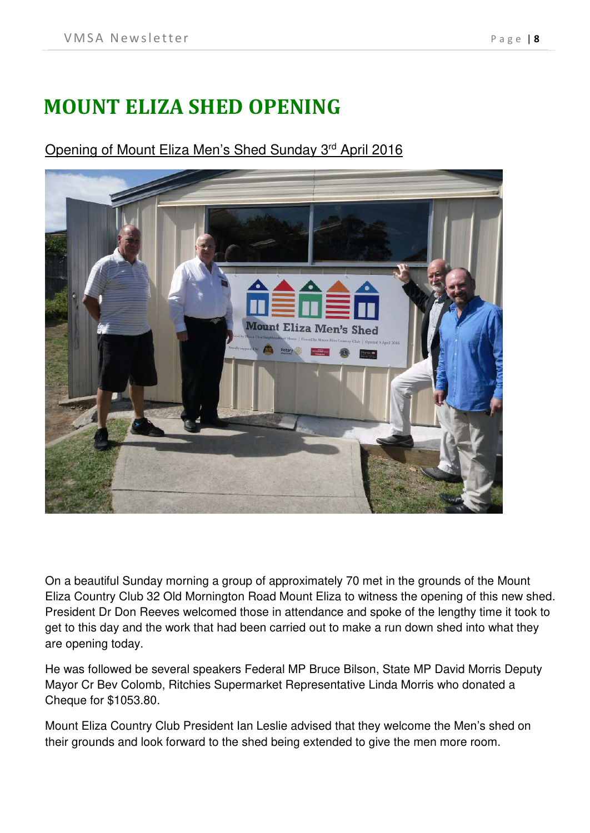# <span id="page-7-0"></span>**MOUNT ELIZA SHED OPENING**

### Opening of Mount Eliza Men's Shed Sunday 3rd April 2016



On a beautiful Sunday morning a group of approximately 70 met in the grounds of the Mount Eliza Country Club 32 Old Mornington Road Mount Eliza to witness the opening of this new shed. President Dr Don Reeves welcomed those in attendance and spoke of the lengthy time it took to get to this day and the work that had been carried out to make a run down shed into what they are opening today.

He was followed be several speakers Federal MP Bruce Bilson, State MP David Morris Deputy Mayor Cr Bev Colomb, Ritchies Supermarket Representative Linda Morris who donated a Cheque for \$1053.80.

Mount Eliza Country Club President Ian Leslie advised that they welcome the Men's shed on their grounds and look forward to the shed being extended to give the men more room.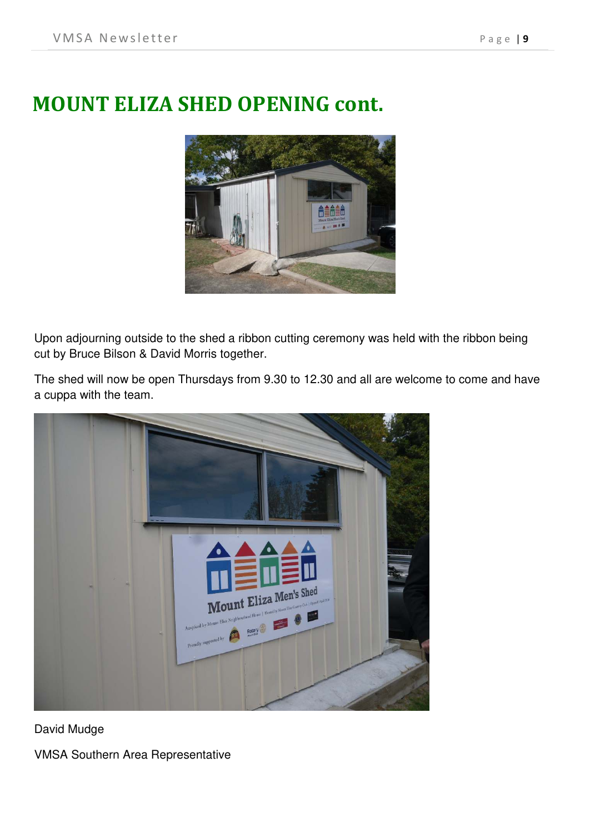# <span id="page-8-0"></span>**MOUNT ELIZA SHED OPENING cont.**



Upon adjourning outside to the shed a ribbon cutting ceremony was held with the ribbon being cut by Bruce Bilson & David Morris together.

The shed will now be open Thursdays from 9.30 to 12.30 and all are welcome to come and have a cuppa with the team.



David Mudge VMSA Southern Area Representative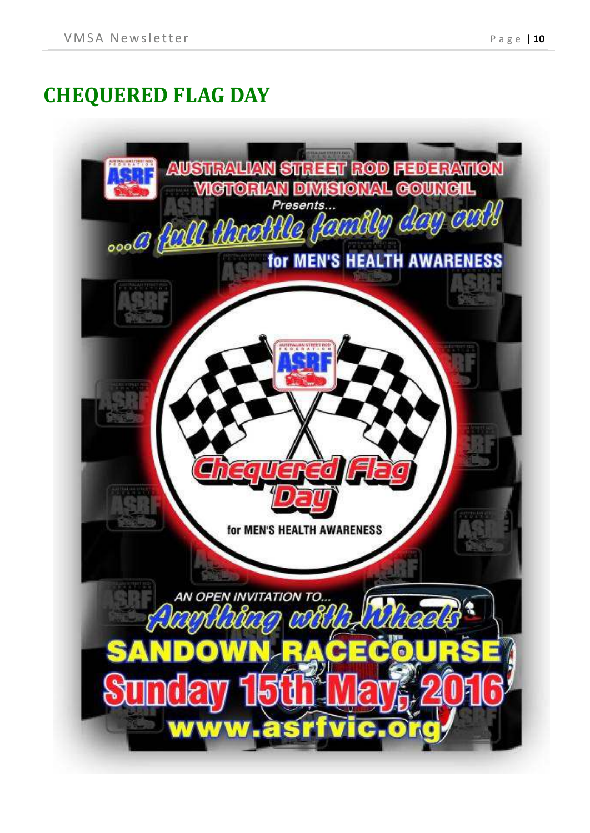# <span id="page-9-0"></span>**CHEQUERED FLAG DAY**

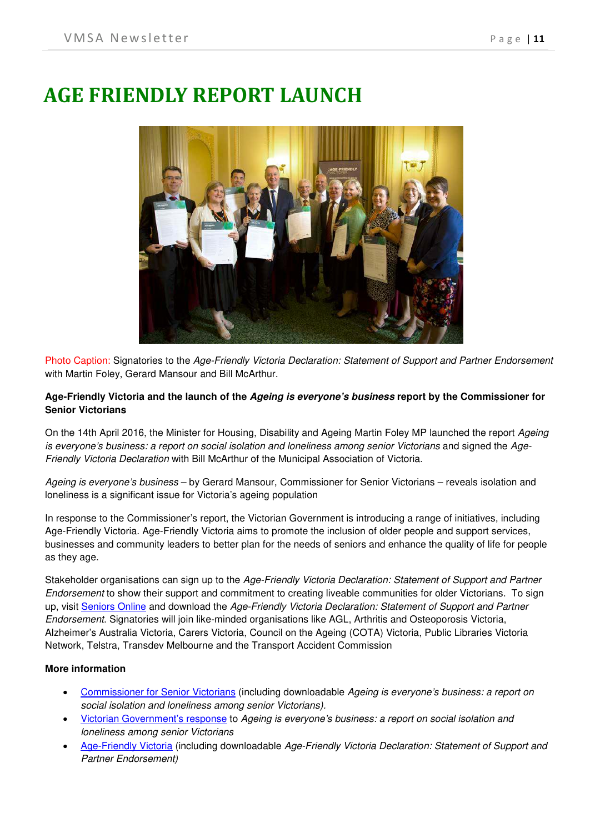### <span id="page-10-0"></span>**AGE FRIENDLY REPORT LAUNCH**



Photo Caption: Signatories to the *Age-Friendly Victoria Declaration: Statement of Support and Partner Endorsement* with Martin Foley, Gerard Mansour and Bill McArthur.

#### **Age-Friendly Victoria and the launch of the** *Ageing is everyone's business* **report by the Commissioner for Senior Victorians**

On the 14th April 2016, the Minister for Housing, Disability and Ageing Martin Foley MP launched the report *Ageing is everyone's business: a report on social isolation and loneliness among senior Victorians* and signed the *Age-Friendly Victoria Declaration* with Bill McArthur of the Municipal Association of Victoria.

*Ageing is everyone's business* – by Gerard Mansour, Commissioner for Senior Victorians – reveals isolation and loneliness is a significant issue for Victoria's ageing population

In response to the Commissioner's report, the Victorian Government is introducing a range of initiatives, including Age-Friendly Victoria. Age-Friendly Victoria aims to promote the inclusion of older people and support services, businesses and community leaders to better plan for the needs of seniors and enhance the quality of life for people as they age.

Stakeholder organisations can sign up to the *Age-Friendly Victoria Declaration: Statement of Support and Partner Endorsement* to show their support and commitment to creating liveable communities for older Victorians. To sign up, visit [Seniors Online](http://www.seniorsonline.vic.gov.au/) and download the *Age-Friendly Victoria Declaration: Statement of Support and Partner Endorsement*. Signatories will join like-minded organisations like AGL, Arthritis and Osteoporosis Victoria, Alzheimer's Australia Victoria, Carers Victoria, Council on the Ageing (COTA) Victoria, Public Libraries Victoria Network, Telstra, Transdev Melbourne and the Transport Accident Commission

#### **More information**

- [Commissioner for Senior Victorians](https://www.seniorsonline.vic.gov.au/services-information/commissioner-for-senior-victorians/government-response-to%20ageing-is-everyones-business) (including downloadable *Ageing is everyone's business: a report on social isolation and loneliness among senior Victorians).*
- [Victorian Government's response](https://www.seniorsonline.vic.gov.au/services-information/commissioner-for-senior-victorians/government-response-to%20ageing-is-everyones-business) to *Ageing is everyone's business: a report on social isolation and loneliness among senior Victorians*
- [Age-Friendly Victoria](https://www.seniorsonline.vic.gov.au/get-involved/age-friendly%20victoria) (including downloadable *Age-Friendly Victoria Declaration: Statement of Support and Partner Endorsement)*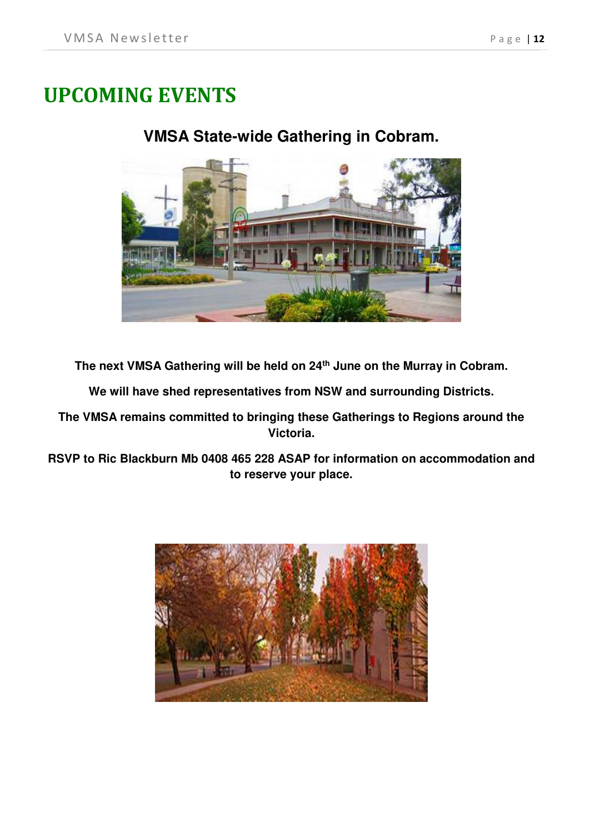# <span id="page-11-0"></span>**UPCOMING EVENTS**

#### **VMSA State-wide Gathering in Cobram.**



**The next VMSA Gathering will be held on 24th June on the Murray in Cobram.**

**We will have shed representatives from NSW and surrounding Districts.**

**The VMSA remains committed to bringing these Gatherings to Regions around the Victoria.**

**RSVP to Ric Blackburn Mb 0408 465 228 ASAP for information on accommodation and to reserve your place.**

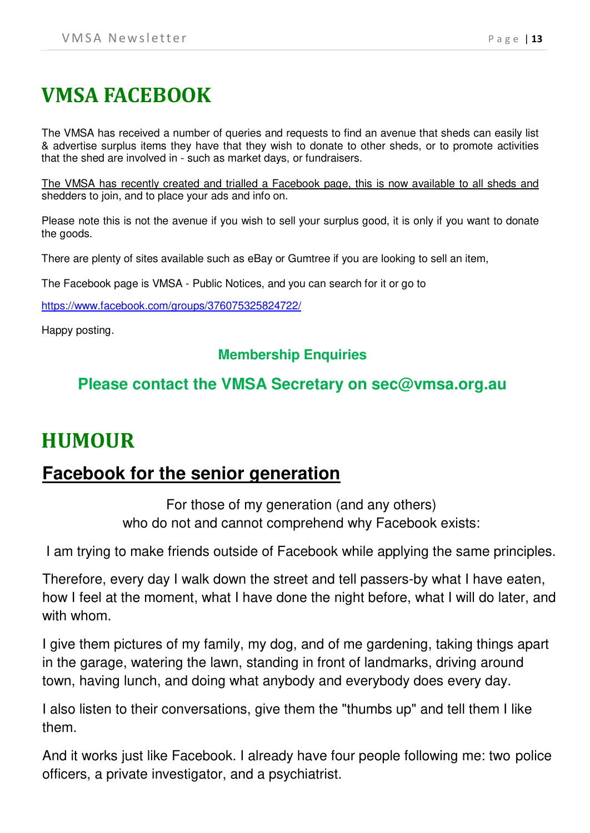# <span id="page-12-0"></span>**VMSA FACEBOOK**

The VMSA has received a number of queries and requests to find an avenue that sheds can easily list & advertise surplus items they have that they wish to donate to other sheds, or to promote activities that the shed are involved in - such as market days, or fundraisers.

The VMSA has recently created and trialled a Facebook page, this is now available to all sheds and shedders to join, and to place your ads and info on.

Please note this is not the avenue if you wish to sell your surplus good, it is only if you want to donate the goods.

There are plenty of sites available such as eBay or Gumtree if you are looking to sell an item,

The Facebook page is VMSA - Public Notices, and you can search for it or go to

<https://www.facebook.com/groups/376075325824722/>

Happy posting.

#### **Membership Enquiries**

### **Please contact the VMSA Secretary on sec@vmsa.org.au**

### <span id="page-12-1"></span>**HUMOUR**

### **Facebook for the senior generation**

For those of my generation (and any others) who do not and cannot comprehend why Facebook exists:

I am trying to make friends outside of Facebook while applying the same principles.

Therefore, every day I walk down the street and tell passers-by what I have eaten, how I feel at the moment, what I have done the night before, what I will do later, and with whom.

I give them pictures of my family, my dog, and of me gardening, taking things apart in the garage, watering the lawn, standing in front of landmarks, driving around town, having lunch, and doing what anybody and everybody does every day.

I also listen to their conversations, give them the "thumbs up" and tell them I like them.

And it works just like Facebook. I already have four people following me: two police officers, a private investigator, and a psychiatrist.